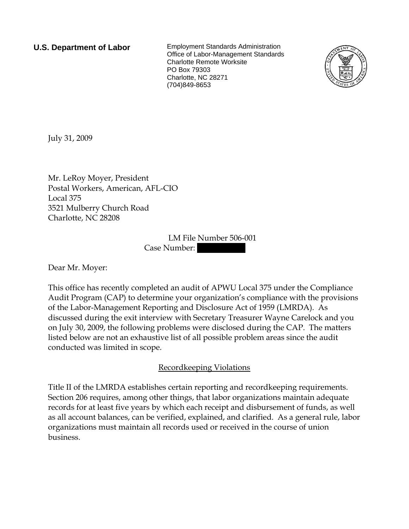**U.S. Department of Labor** Employment Standards Administration Office of Labor-Management Standards Charlotte Remote Worksite PO Box 79303 Charlotte, NC 28271 (704)849-8653



July 31, 2009

Mr. LeRoy Moyer, President Postal Workers, American, AFL-CIO Local 375 3521 Mulberry Church Road Charlotte, NC 28208

> LM File Number 506-001 Case Number:

Dear Mr. Moyer:

This office has recently completed an audit of APWU Local 375 under the Compliance Audit Program (CAP) to determine your organization's compliance with the provisions of the Labor-Management Reporting and Disclosure Act of 1959 (LMRDA). As discussed during the exit interview with Secretary Treasurer Wayne Carelock and you on July 30, 2009, the following problems were disclosed during the CAP. The matters listed below are not an exhaustive list of all possible problem areas since the audit conducted was limited in scope.

# Recordkeeping Violations

Title II of the LMRDA establishes certain reporting and recordkeeping requirements. Section 206 requires, among other things, that labor organizations maintain adequate records for at least five years by which each receipt and disbursement of funds, as well as all account balances, can be verified, explained, and clarified. As a general rule, labor organizations must maintain all records used or received in the course of union business.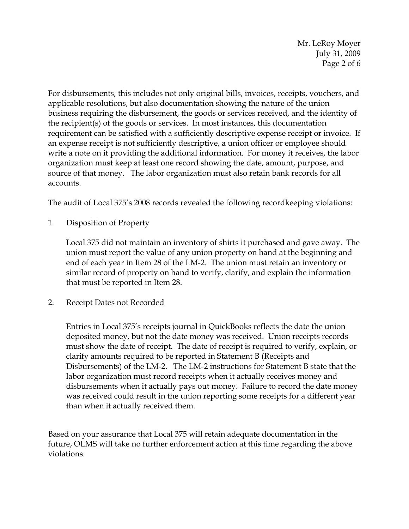Mr. LeRoy Moyer July 31, 2009 Page 2 of 6

For disbursements, this includes not only original bills, invoices, receipts, vouchers, and applicable resolutions, but also documentation showing the nature of the union business requiring the disbursement, the goods or services received, and the identity of the recipient(s) of the goods or services. In most instances, this documentation requirement can be satisfied with a sufficiently descriptive expense receipt or invoice. If an expense receipt is not sufficiently descriptive, a union officer or employee should write a note on it providing the additional information. For money it receives, the labor organization must keep at least one record showing the date, amount, purpose, and source of that money. The labor organization must also retain bank records for all accounts.

The audit of Local 375's 2008 records revealed the following recordkeeping violations:

1. Disposition of Property

Local 375 did not maintain an inventory of shirts it purchased and gave away. The union must report the value of any union property on hand at the beginning and end of each year in Item 28 of the LM-2. The union must retain an inventory or similar record of property on hand to verify, clarify, and explain the information that must be reported in Item 28.

2. Receipt Dates not Recorded

Entries in Local 375's receipts journal in QuickBooks reflects the date the union deposited money, but not the date money was received. Union receipts records must show the date of receipt. The date of receipt is required to verify, explain, or clarify amounts required to be reported in Statement B (Receipts and Disbursements) of the LM-2. The LM-2 instructions for Statement B state that the labor organization must record receipts when it actually receives money and disbursements when it actually pays out money. Failure to record the date money was received could result in the union reporting some receipts for a different year than when it actually received them.

Based on your assurance that Local 375 will retain adequate documentation in the future, OLMS will take no further enforcement action at this time regarding the above violations.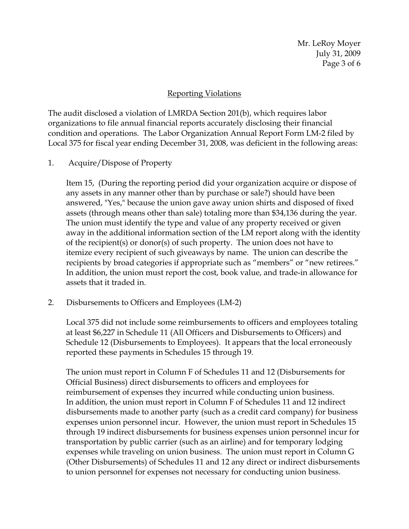Mr. LeRoy Moyer July 31, 2009 Page 3 of 6

## Reporting Violations

The audit disclosed a violation of LMRDA Section 201(b), which requires labor organizations to file annual financial reports accurately disclosing their financial condition and operations. The Labor Organization Annual Report Form LM-2 filed by Local 375 for fiscal year ending December 31, 2008, was deficient in the following areas:

1. Acquire/Dispose of Property

Item 15, (During the reporting period did your organization acquire or dispose of any assets in any manner other than by purchase or sale?) should have been answered, "Yes," because the union gave away union shirts and disposed of fixed assets (through means other than sale) totaling more than \$34,136 during the year. The union must identify the type and value of any property received or given away in the additional information section of the LM report along with the identity of the recipient(s) or donor(s) of such property. The union does not have to itemize every recipient of such giveaways by name. The union can describe the recipients by broad categories if appropriate such as "members" or "new retirees." In addition, the union must report the cost, book value, and trade-in allowance for assets that it traded in.

2. Disbursements to Officers and Employees (LM-2)

Local 375 did not include some reimbursements to officers and employees totaling at least \$6,227 in Schedule 11 (All Officers and Disbursements to Officers) and Schedule 12 (Disbursements to Employees). It appears that the local erroneously reported these payments in Schedules 15 through 19.

The union must report in Column F of Schedules 11 and 12 (Disbursements for Official Business) direct disbursements to officers and employees for reimbursement of expenses they incurred while conducting union business. In addition, the union must report in Column F of Schedules 11 and 12 indirect disbursements made to another party (such as a credit card company) for business expenses union personnel incur. However, the union must report in Schedules 15 through 19 indirect disbursements for business expenses union personnel incur for transportation by public carrier (such as an airline) and for temporary lodging expenses while traveling on union business. The union must report in Column G (Other Disbursements) of Schedules 11 and 12 any direct or indirect disbursements to union personnel for expenses not necessary for conducting union business.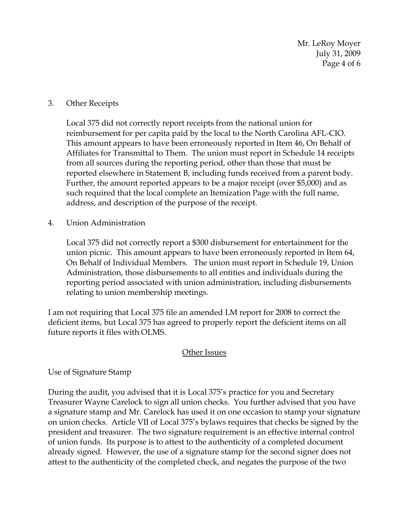Mr. LeRoy Moyer July 31, 2009 Page 4 of 6

### 3. Other Receipts

Local 375 did not correctly report receipts from the national union for reimbursement for per capita paid by the local to the North Carolina AFL-CIO. This amount appears to have been erroneously reported in Item 46, On Behalf of Affiliates for Transmittal to Them. The union must report in Schedule 14 receipts from all sources during the reporting period, other than those that must be reported elsewhere in Statement B, including funds received from a parent body. Further, the amount reported appears to be a major receipt (over \$5,000) and as such required that the local complete an Itemization Page with the full name, address, and description of the purpose of the receipt.

4. Union Administration

Local 375 did not correctly report a \$300 disbursement for entertainment for the union picnic. This amount appears to have been erroneously reported in Item 64, On Behalf of Individual Members. The union must report in Schedule 19, Union Administration, those disbursements to all entities and individuals during the reporting period associated with union administration, including disbursements relating to union membership meetings.

I am not requiring that Local 375 file an amended LM report for 2008 to correct the deficient items, but Local 375 has agreed to properly report the deficient items on all future reports it files with OLMS.

### **Other Issues**

# Use of Signature Stamp

During the audit, you advised that it is Local 375's practice for you and Secretary Treasurer Wayne Carelock to sign all union checks. You further advised that you have a signature stamp and Mr. Carelock has used it on one occasion to stamp your signature on union checks. Article VII of Local 375's bylaws requires that checks be signed by the president and treasurer. The two signature requirement is an effective internal control of union funds. Its purpose is to attest to the authenticity of a completed document already signed. However, the use of a signature stamp for the second signer does not attest to the authenticity of the completed check, and negates the purpose of the two